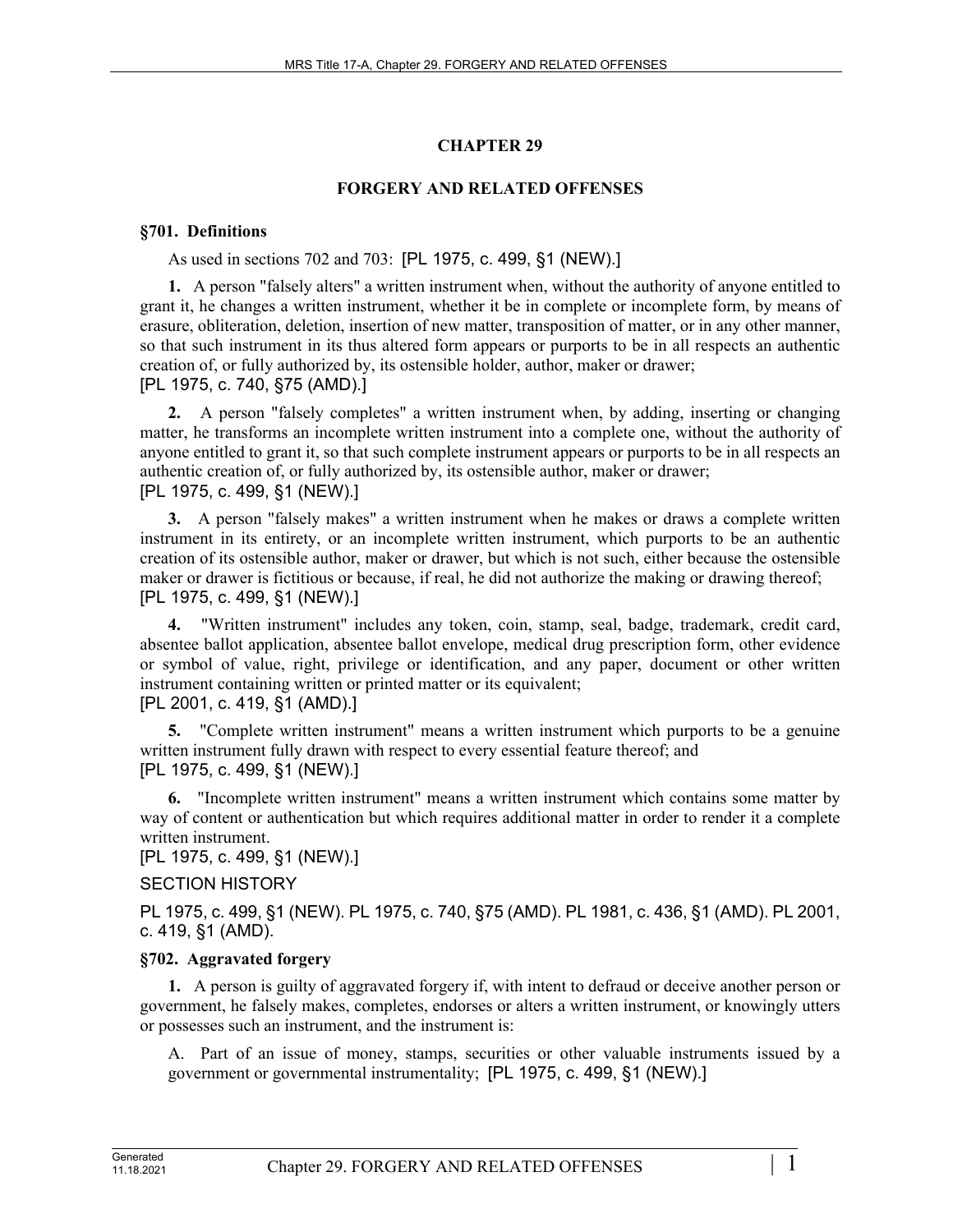# **CHAPTER 29**

## **FORGERY AND RELATED OFFENSES**

## **§701. Definitions**

As used in sections 702 and 703: [PL 1975, c. 499, §1 (NEW).]

**1.** A person "falsely alters" a written instrument when, without the authority of anyone entitled to grant it, he changes a written instrument, whether it be in complete or incomplete form, by means of erasure, obliteration, deletion, insertion of new matter, transposition of matter, or in any other manner, so that such instrument in its thus altered form appears or purports to be in all respects an authentic creation of, or fully authorized by, its ostensible holder, author, maker or drawer; [PL 1975, c. 740, §75 (AMD).]

**2.** A person "falsely completes" a written instrument when, by adding, inserting or changing matter, he transforms an incomplete written instrument into a complete one, without the authority of anyone entitled to grant it, so that such complete instrument appears or purports to be in all respects an authentic creation of, or fully authorized by, its ostensible author, maker or drawer; [PL 1975, c. 499, §1 (NEW).]

**3.** A person "falsely makes" a written instrument when he makes or draws a complete written instrument in its entirety, or an incomplete written instrument, which purports to be an authentic creation of its ostensible author, maker or drawer, but which is not such, either because the ostensible maker or drawer is fictitious or because, if real, he did not authorize the making or drawing thereof; [PL 1975, c. 499, §1 (NEW).]

**4.** "Written instrument" includes any token, coin, stamp, seal, badge, trademark, credit card, absentee ballot application, absentee ballot envelope, medical drug prescription form, other evidence or symbol of value, right, privilege or identification, and any paper, document or other written instrument containing written or printed matter or its equivalent;

[PL 2001, c. 419, §1 (AMD).]

**5.** "Complete written instrument" means a written instrument which purports to be a genuine written instrument fully drawn with respect to every essential feature thereof; and [PL 1975, c. 499, §1 (NEW).]

**6.** "Incomplete written instrument" means a written instrument which contains some matter by way of content or authentication but which requires additional matter in order to render it a complete written instrument.

[PL 1975, c. 499, §1 (NEW).]

# SECTION HISTORY

PL 1975, c. 499, §1 (NEW). PL 1975, c. 740, §75 (AMD). PL 1981, c. 436, §1 (AMD). PL 2001, c. 419, §1 (AMD).

# **§702. Aggravated forgery**

**1.** A person is guilty of aggravated forgery if, with intent to defraud or deceive another person or government, he falsely makes, completes, endorses or alters a written instrument, or knowingly utters or possesses such an instrument, and the instrument is:

A. Part of an issue of money, stamps, securities or other valuable instruments issued by a government or governmental instrumentality; [PL 1975, c. 499, §1 (NEW).]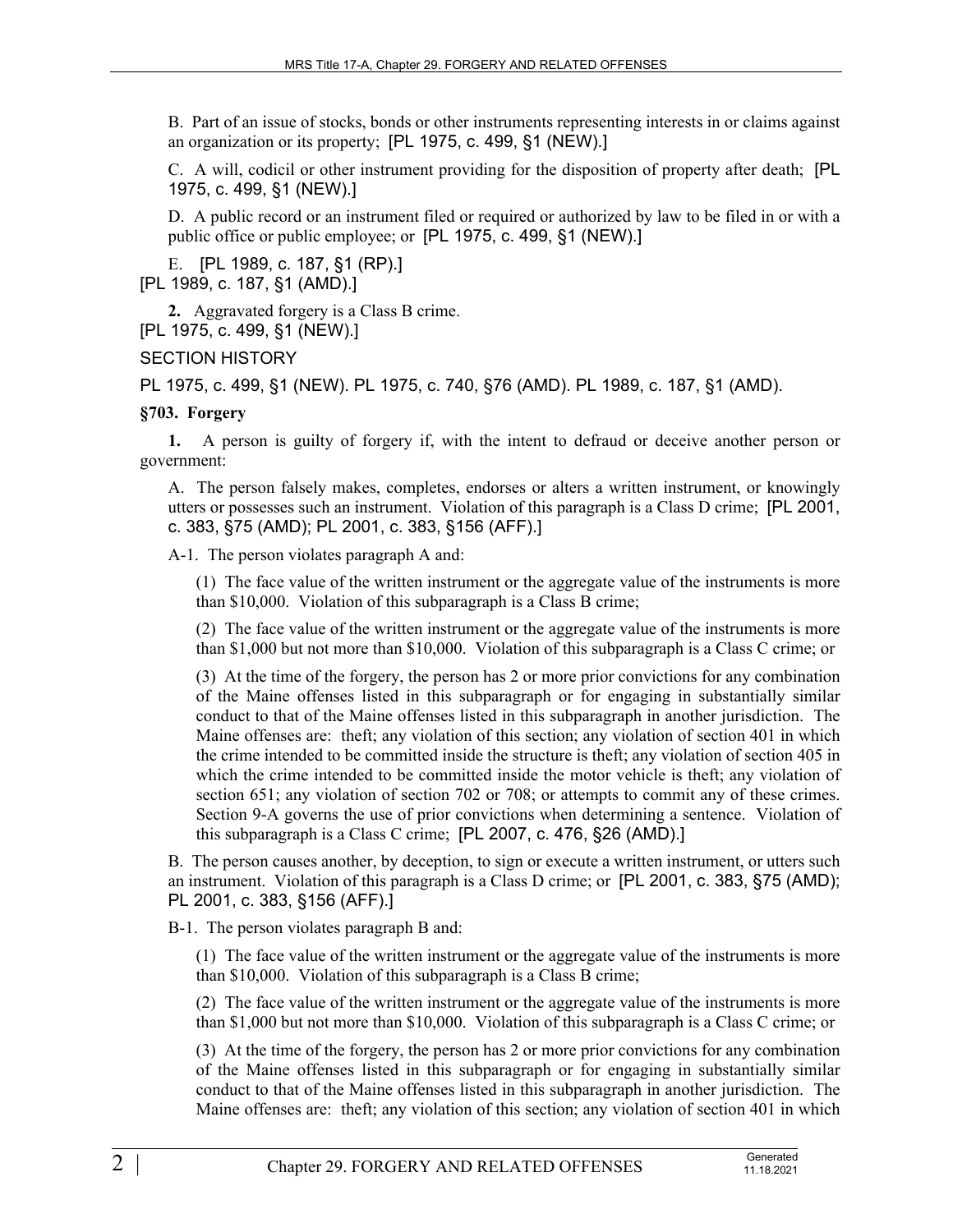B. Part of an issue of stocks, bonds or other instruments representing interests in or claims against an organization or its property; [PL 1975, c. 499, §1 (NEW).]

C. A will, codicil or other instrument providing for the disposition of property after death; [PL 1975, c. 499, §1 (NEW).]

D. A public record or an instrument filed or required or authorized by law to be filed in or with a public office or public employee; or [PL 1975, c. 499, §1 (NEW).]

E. [PL 1989, c. 187, §1 (RP).] [PL 1989, c. 187, §1 (AMD).]

**2.** Aggravated forgery is a Class B crime. [PL 1975, c. 499, §1 (NEW).]

SECTION HISTORY

PL 1975, c. 499, §1 (NEW). PL 1975, c. 740, §76 (AMD). PL 1989, c. 187, §1 (AMD).

#### **§703. Forgery**

**1.** A person is guilty of forgery if, with the intent to defraud or deceive another person or government:

A. The person falsely makes, completes, endorses or alters a written instrument, or knowingly utters or possesses such an instrument. Violation of this paragraph is a Class D crime; [PL 2001, c. 383, §75 (AMD); PL 2001, c. 383, §156 (AFF).]

A-1. The person violates paragraph A and:

(1) The face value of the written instrument or the aggregate value of the instruments is more than \$10,000. Violation of this subparagraph is a Class B crime;

(2) The face value of the written instrument or the aggregate value of the instruments is more than \$1,000 but not more than \$10,000. Violation of this subparagraph is a Class C crime; or

(3) At the time of the forgery, the person has 2 or more prior convictions for any combination of the Maine offenses listed in this subparagraph or for engaging in substantially similar conduct to that of the Maine offenses listed in this subparagraph in another jurisdiction. The Maine offenses are: theft; any violation of this section; any violation of section 401 in which the crime intended to be committed inside the structure is theft; any violation of section 405 in which the crime intended to be committed inside the motor vehicle is theft; any violation of section 651; any violation of section 702 or 708; or attempts to commit any of these crimes. Section 9-A governs the use of prior convictions when determining a sentence. Violation of this subparagraph is a Class C crime; [PL 2007, c. 476, §26 (AMD).]

B. The person causes another, by deception, to sign or execute a written instrument, or utters such an instrument. Violation of this paragraph is a Class D crime; or [PL 2001, c. 383, §75 (AMD); PL 2001, c. 383, §156 (AFF).]

B-1. The person violates paragraph B and:

(1) The face value of the written instrument or the aggregate value of the instruments is more than \$10,000. Violation of this subparagraph is a Class B crime;

(2) The face value of the written instrument or the aggregate value of the instruments is more than \$1,000 but not more than \$10,000. Violation of this subparagraph is a Class C crime; or

(3) At the time of the forgery, the person has 2 or more prior convictions for any combination of the Maine offenses listed in this subparagraph or for engaging in substantially similar conduct to that of the Maine offenses listed in this subparagraph in another jurisdiction. The Maine offenses are: theft; any violation of this section; any violation of section 401 in which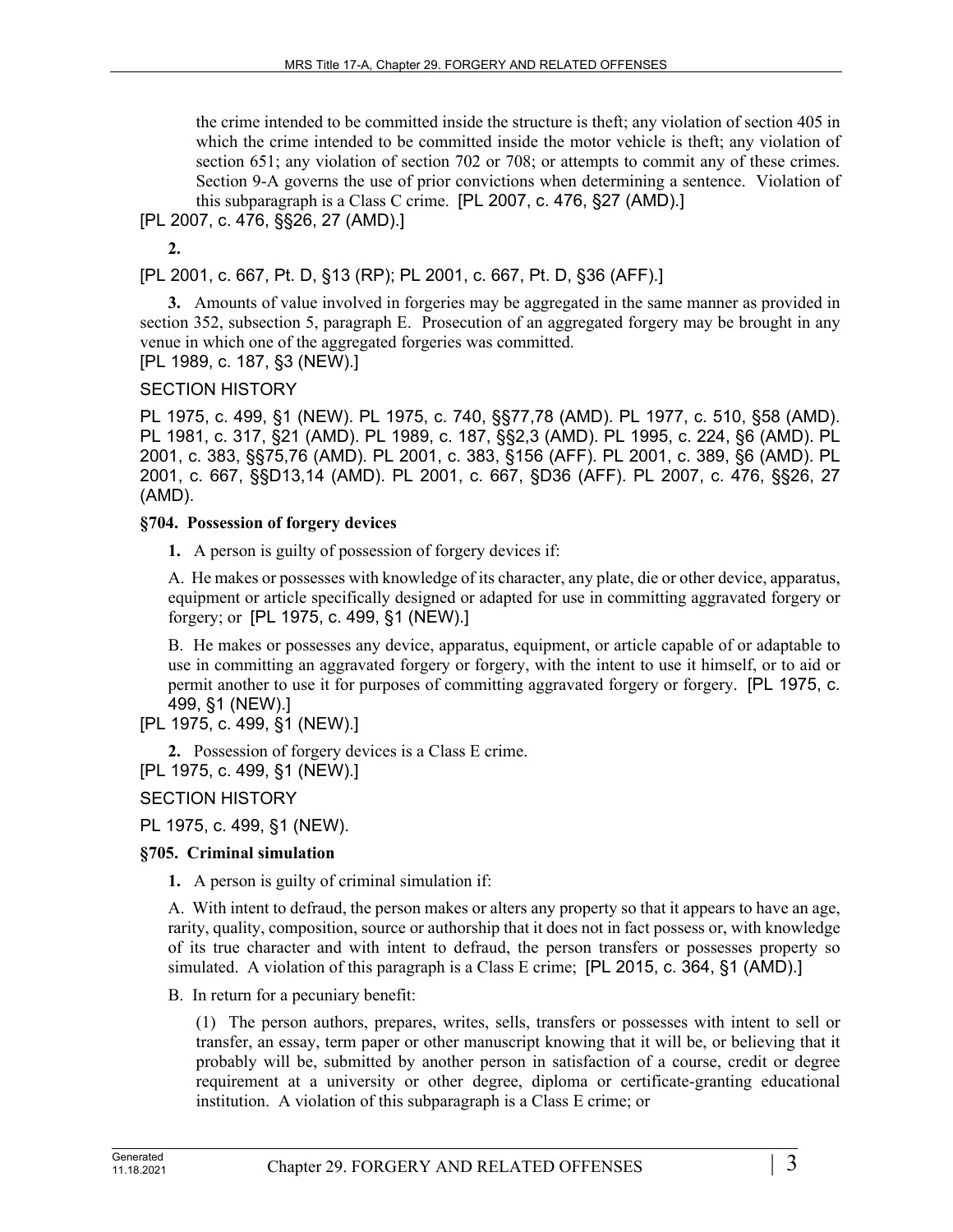the crime intended to be committed inside the structure is theft; any violation of section 405 in which the crime intended to be committed inside the motor vehicle is theft; any violation of section 651; any violation of section 702 or 708; or attempts to commit any of these crimes. Section 9-A governs the use of prior convictions when determining a sentence. Violation of this subparagraph is a Class C crime. [PL 2007, c. 476, §27 (AMD).]

[PL 2007, c. 476, §§26, 27 (AMD).]

**2.** 

[PL 2001, c. 667, Pt. D, §13 (RP); PL 2001, c. 667, Pt. D, §36 (AFF).]

**3.** Amounts of value involved in forgeries may be aggregated in the same manner as provided in section 352, subsection 5, paragraph E. Prosecution of an aggregated forgery may be brought in any venue in which one of the aggregated forgeries was committed. [PL 1989, c. 187, §3 (NEW).]

SECTION HISTORY

PL 1975, c. 499, §1 (NEW). PL 1975, c. 740, §§77,78 (AMD). PL 1977, c. 510, §58 (AMD). PL 1981, c. 317, §21 (AMD). PL 1989, c. 187, §§2,3 (AMD). PL 1995, c. 224, §6 (AMD). PL 2001, c. 383, §§75,76 (AMD). PL 2001, c. 383, §156 (AFF). PL 2001, c. 389, §6 (AMD). PL 2001, c. 667, §§D13,14 (AMD). PL 2001, c. 667, §D36 (AFF). PL 2007, c. 476, §§26, 27 (AMD).

#### **§704. Possession of forgery devices**

**1.** A person is guilty of possession of forgery devices if:

A. He makes or possesses with knowledge of its character, any plate, die or other device, apparatus, equipment or article specifically designed or adapted for use in committing aggravated forgery or forgery; or [PL 1975, c. 499, §1 (NEW).]

B. He makes or possesses any device, apparatus, equipment, or article capable of or adaptable to use in committing an aggravated forgery or forgery, with the intent to use it himself, or to aid or permit another to use it for purposes of committing aggravated forgery or forgery. [PL 1975, c. 499, §1 (NEW).]

[PL 1975, c. 499, §1 (NEW).]

**2.** Possession of forgery devices is a Class E crime. [PL 1975, c. 499, §1 (NEW).]

SECTION HISTORY

PL 1975, c. 499, §1 (NEW).

## **§705. Criminal simulation**

**1.** A person is guilty of criminal simulation if:

A. With intent to defraud, the person makes or alters any property so that it appears to have an age, rarity, quality, composition, source or authorship that it does not in fact possess or, with knowledge of its true character and with intent to defraud, the person transfers or possesses property so simulated. A violation of this paragraph is a Class E crime; [PL 2015, c. 364, §1 (AMD).]

B. In return for a pecuniary benefit:

(1) The person authors, prepares, writes, sells, transfers or possesses with intent to sell or transfer, an essay, term paper or other manuscript knowing that it will be, or believing that it probably will be, submitted by another person in satisfaction of a course, credit or degree requirement at a university or other degree, diploma or certificate-granting educational institution. A violation of this subparagraph is a Class E crime; or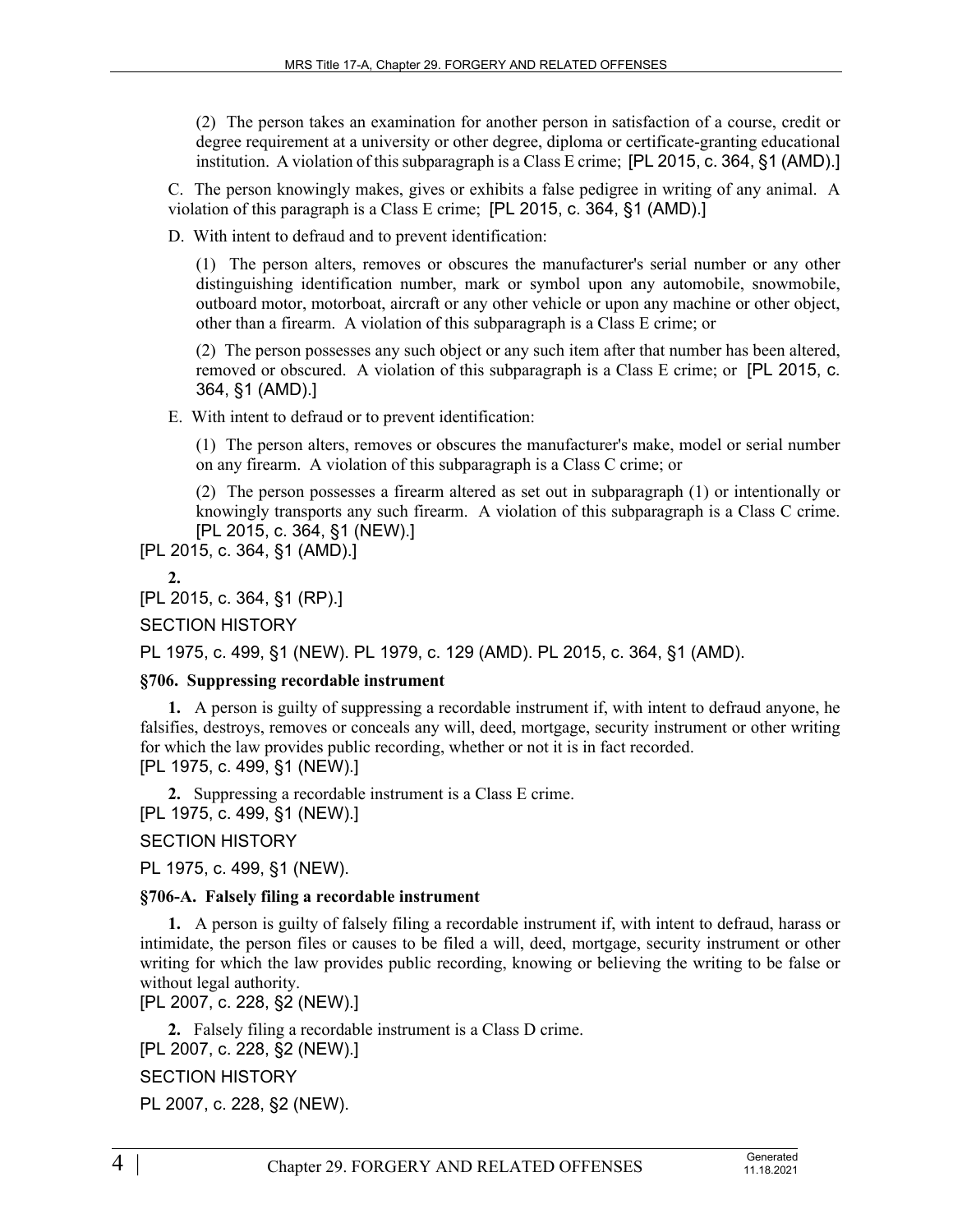(2) The person takes an examination for another person in satisfaction of a course, credit or degree requirement at a university or other degree, diploma or certificate-granting educational institution. A violation of this subparagraph is a Class E crime; [PL 2015, c. 364, §1 (AMD).]

C. The person knowingly makes, gives or exhibits a false pedigree in writing of any animal. A violation of this paragraph is a Class E crime; [PL 2015, c. 364, §1 (AMD).]

D. With intent to defraud and to prevent identification:

(1) The person alters, removes or obscures the manufacturer's serial number or any other distinguishing identification number, mark or symbol upon any automobile, snowmobile, outboard motor, motorboat, aircraft or any other vehicle or upon any machine or other object, other than a firearm. A violation of this subparagraph is a Class E crime; or

(2) The person possesses any such object or any such item after that number has been altered, removed or obscured. A violation of this subparagraph is a Class E crime; or [PL 2015, c. 364, §1 (AMD).]

E. With intent to defraud or to prevent identification:

(1) The person alters, removes or obscures the manufacturer's make, model or serial number on any firearm. A violation of this subparagraph is a Class C crime; or

(2) The person possesses a firearm altered as set out in subparagraph (1) or intentionally or knowingly transports any such firearm. A violation of this subparagraph is a Class C crime. [PL 2015, c. 364, §1 (NEW).]

[PL 2015, c. 364, §1 (AMD).]

**2.** 

[PL 2015, c. 364, §1 (RP).]

SECTION HISTORY

PL 1975, c. 499, §1 (NEW). PL 1979, c. 129 (AMD). PL 2015, c. 364, §1 (AMD).

#### **§706. Suppressing recordable instrument**

**1.** A person is guilty of suppressing a recordable instrument if, with intent to defraud anyone, he falsifies, destroys, removes or conceals any will, deed, mortgage, security instrument or other writing for which the law provides public recording, whether or not it is in fact recorded. [PL 1975, c. 499, §1 (NEW).]

**2.** Suppressing a recordable instrument is a Class E crime. [PL 1975, c. 499, §1 (NEW).]

SECTION HISTORY

PL 1975, c. 499, §1 (NEW).

#### **§706-A. Falsely filing a recordable instrument**

**1.** A person is guilty of falsely filing a recordable instrument if, with intent to defraud, harass or intimidate, the person files or causes to be filed a will, deed, mortgage, security instrument or other writing for which the law provides public recording, knowing or believing the writing to be false or without legal authority.

[PL 2007, c. 228, §2 (NEW).]

**2.** Falsely filing a recordable instrument is a Class D crime.

[PL 2007, c. 228, §2 (NEW).]

SECTION HISTORY

PL 2007, c. 228, §2 (NEW).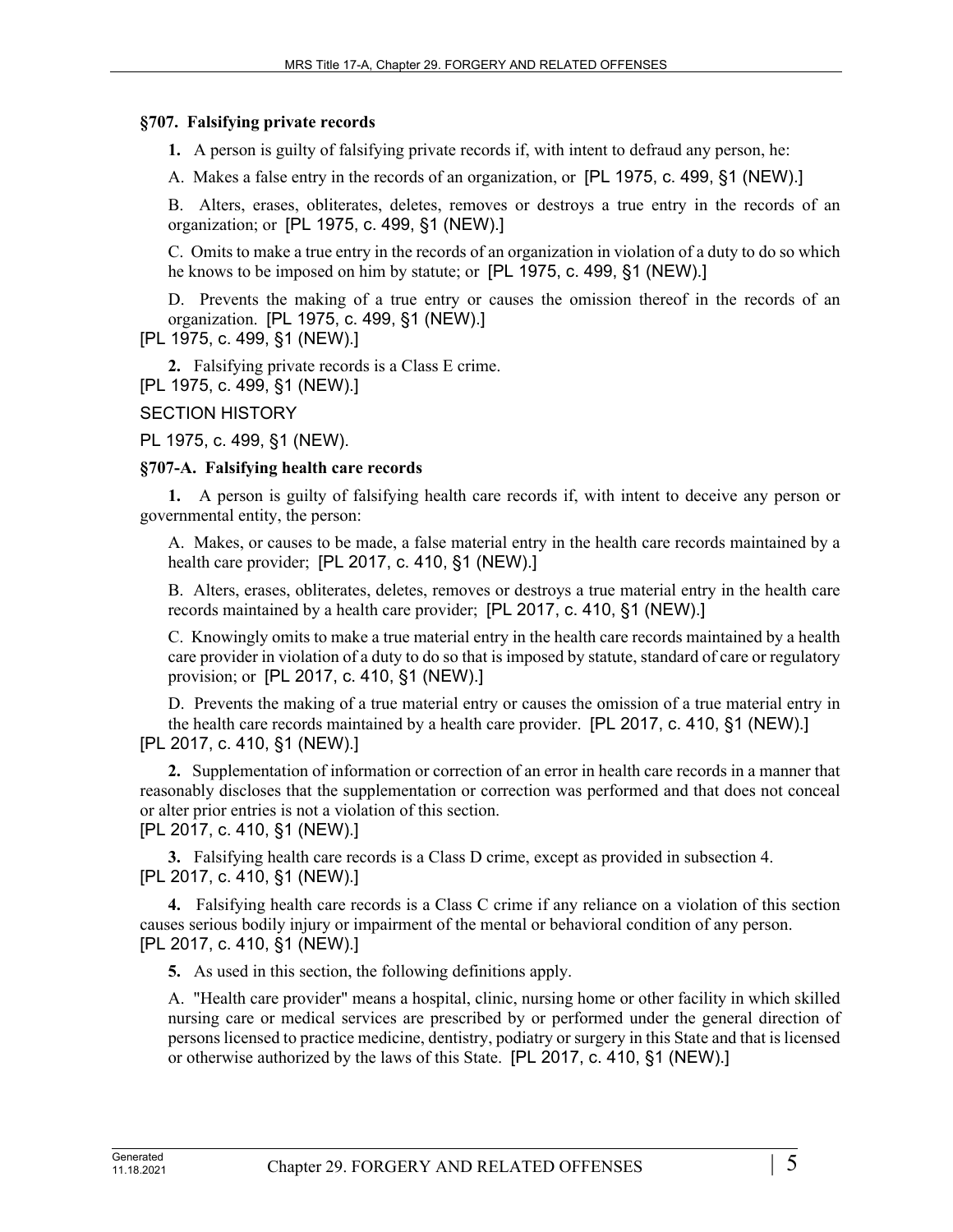### **§707. Falsifying private records**

**1.** A person is guilty of falsifying private records if, with intent to defraud any person, he:

A. Makes a false entry in the records of an organization, or [PL 1975, c. 499, §1 (NEW).]

B. Alters, erases, obliterates, deletes, removes or destroys a true entry in the records of an organization; or [PL 1975, c. 499, §1 (NEW).]

C. Omits to make a true entry in the records of an organization in violation of a duty to do so which he knows to be imposed on him by statute; or [PL 1975, c. 499, §1 (NEW).]

D. Prevents the making of a true entry or causes the omission thereof in the records of an organization. [PL 1975, c. 499, §1 (NEW).]

[PL 1975, c. 499, §1 (NEW).]

**2.** Falsifying private records is a Class E crime. [PL 1975, c. 499, §1 (NEW).]

SECTION HISTORY

PL 1975, c. 499, §1 (NEW).

### **§707-A. Falsifying health care records**

**1.** A person is guilty of falsifying health care records if, with intent to deceive any person or governmental entity, the person:

A. Makes, or causes to be made, a false material entry in the health care records maintained by a health care provider; [PL 2017, c. 410, §1 (NEW).]

B. Alters, erases, obliterates, deletes, removes or destroys a true material entry in the health care records maintained by a health care provider; [PL 2017, c. 410, §1 (NEW).]

C. Knowingly omits to make a true material entry in the health care records maintained by a health care provider in violation of a duty to do so that is imposed by statute, standard of care or regulatory provision; or [PL 2017, c. 410, §1 (NEW).]

D. Prevents the making of a true material entry or causes the omission of a true material entry in the health care records maintained by a health care provider. [PL 2017, c. 410, §1 (NEW).] [PL 2017, c. 410, §1 (NEW).]

**2.** Supplementation of information or correction of an error in health care records in a manner that reasonably discloses that the supplementation or correction was performed and that does not conceal or alter prior entries is not a violation of this section.

[PL 2017, c. 410, §1 (NEW).]

**3.** Falsifying health care records is a Class D crime, except as provided in subsection 4. [PL 2017, c. 410, §1 (NEW).]

**4.** Falsifying health care records is a Class C crime if any reliance on a violation of this section causes serious bodily injury or impairment of the mental or behavioral condition of any person. [PL 2017, c. 410, §1 (NEW).]

**5.** As used in this section, the following definitions apply.

A. "Health care provider" means a hospital, clinic, nursing home or other facility in which skilled nursing care or medical services are prescribed by or performed under the general direction of persons licensed to practice medicine, dentistry, podiatry or surgery in this State and that is licensed or otherwise authorized by the laws of this State. [PL 2017, c. 410, §1 (NEW).]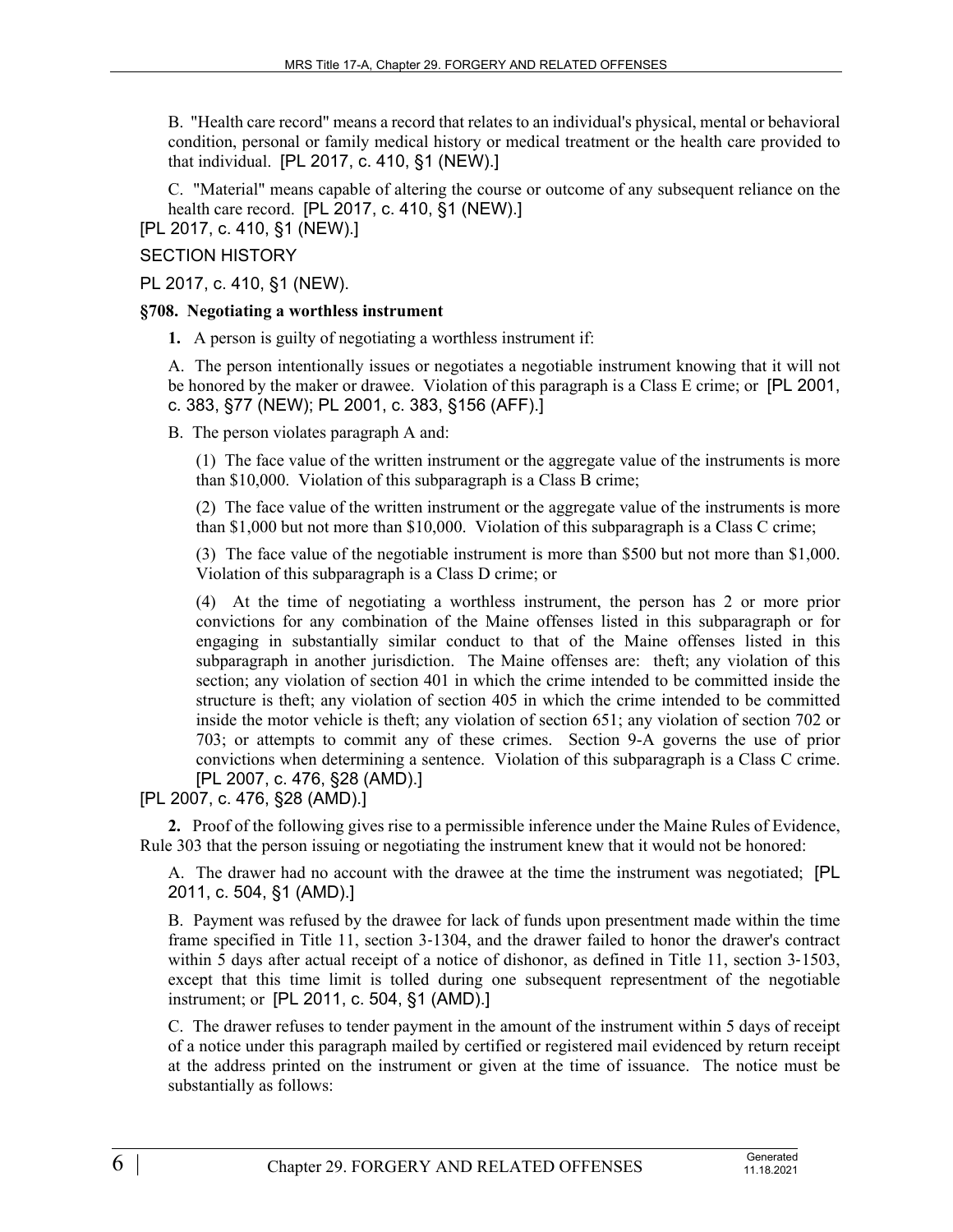B. "Health care record" means a record that relates to an individual's physical, mental or behavioral condition, personal or family medical history or medical treatment or the health care provided to that individual. [PL 2017, c. 410, §1 (NEW).]

C. "Material" means capable of altering the course or outcome of any subsequent reliance on the health care record. [PL 2017, c. 410, §1 (NEW).]

[PL 2017, c. 410, §1 (NEW).]

## SECTION HISTORY

PL 2017, c. 410, §1 (NEW).

### **§708. Negotiating a worthless instrument**

**1.** A person is guilty of negotiating a worthless instrument if:

A. The person intentionally issues or negotiates a negotiable instrument knowing that it will not be honored by the maker or drawee. Violation of this paragraph is a Class E crime; or [PL 2001, c. 383, §77 (NEW); PL 2001, c. 383, §156 (AFF).]

B. The person violates paragraph A and:

(1) The face value of the written instrument or the aggregate value of the instruments is more than \$10,000. Violation of this subparagraph is a Class B crime;

(2) The face value of the written instrument or the aggregate value of the instruments is more than \$1,000 but not more than \$10,000. Violation of this subparagraph is a Class C crime;

(3) The face value of the negotiable instrument is more than \$500 but not more than \$1,000. Violation of this subparagraph is a Class D crime; or

(4) At the time of negotiating a worthless instrument, the person has 2 or more prior convictions for any combination of the Maine offenses listed in this subparagraph or for engaging in substantially similar conduct to that of the Maine offenses listed in this subparagraph in another jurisdiction. The Maine offenses are: theft; any violation of this section; any violation of section 401 in which the crime intended to be committed inside the structure is theft; any violation of section 405 in which the crime intended to be committed inside the motor vehicle is theft; any violation of section 651; any violation of section 702 or 703; or attempts to commit any of these crimes. Section 9-A governs the use of prior convictions when determining a sentence. Violation of this subparagraph is a Class C crime. [PL 2007, c. 476, §28 (AMD).]

[PL 2007, c. 476, §28 (AMD).]

**2.** Proof of the following gives rise to a permissible inference under the Maine Rules of Evidence, Rule 303 that the person issuing or negotiating the instrument knew that it would not be honored:

A. The drawer had no account with the drawee at the time the instrument was negotiated; [PL 2011, c. 504, §1 (AMD).]

B. Payment was refused by the drawee for lack of funds upon presentment made within the time frame specified in Title 11, section 3‑1304, and the drawer failed to honor the drawer's contract within 5 days after actual receipt of a notice of dishonor, as defined in Title 11, section 3-1503, except that this time limit is tolled during one subsequent representment of the negotiable instrument; or [PL 2011, c. 504, §1 (AMD).]

C. The drawer refuses to tender payment in the amount of the instrument within 5 days of receipt of a notice under this paragraph mailed by certified or registered mail evidenced by return receipt at the address printed on the instrument or given at the time of issuance. The notice must be substantially as follows: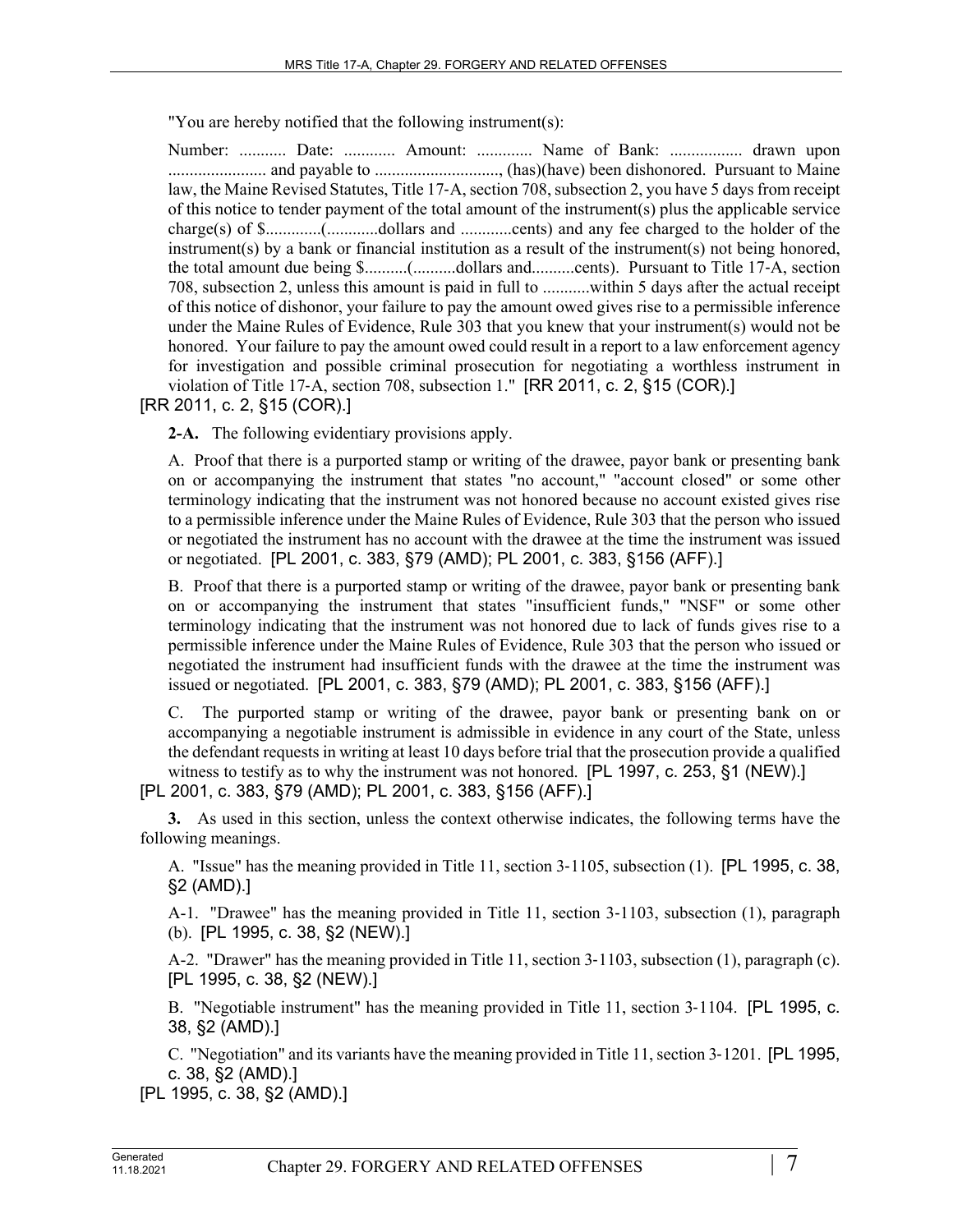"You are hereby notified that the following instrument(s):

Number: ........... Date: ............ Amount: ............. Name of Bank: ................. drawn upon ....................... and payable to ............................., (has)(have) been dishonored. Pursuant to Maine law, the Maine Revised Statutes, Title 17‑A, section 708, subsection 2, you have 5 days from receipt of this notice to tender payment of the total amount of the instrument(s) plus the applicable service charge(s) of \$.............(............dollars and ............cents) and any fee charged to the holder of the instrument(s) by a bank or financial institution as a result of the instrument(s) not being honored, the total amount due being \$..........(..........dollars and..........cents). Pursuant to Title 17‑A, section 708, subsection 2, unless this amount is paid in full to ...........within 5 days after the actual receipt of this notice of dishonor, your failure to pay the amount owed gives rise to a permissible inference under the Maine Rules of Evidence, Rule 303 that you knew that your instrument(s) would not be honored. Your failure to pay the amount owed could result in a report to a law enforcement agency for investigation and possible criminal prosecution for negotiating a worthless instrument in violation of Title 17‑A, section 708, subsection 1." [RR 2011, c. 2, §15 (COR).]

[RR 2011, c. 2, §15 (COR).]

**2-A.** The following evidentiary provisions apply.

A. Proof that there is a purported stamp or writing of the drawee, payor bank or presenting bank on or accompanying the instrument that states "no account," "account closed" or some other terminology indicating that the instrument was not honored because no account existed gives rise to a permissible inference under the Maine Rules of Evidence, Rule 303 that the person who issued or negotiated the instrument has no account with the drawee at the time the instrument was issued or negotiated. [PL 2001, c. 383, §79 (AMD); PL 2001, c. 383, §156 (AFF).]

B. Proof that there is a purported stamp or writing of the drawee, payor bank or presenting bank on or accompanying the instrument that states "insufficient funds," "NSF" or some other terminology indicating that the instrument was not honored due to lack of funds gives rise to a permissible inference under the Maine Rules of Evidence, Rule 303 that the person who issued or negotiated the instrument had insufficient funds with the drawee at the time the instrument was issued or negotiated. [PL 2001, c. 383, §79 (AMD); PL 2001, c. 383, §156 (AFF).]

C. The purported stamp or writing of the drawee, payor bank or presenting bank on or accompanying a negotiable instrument is admissible in evidence in any court of the State, unless the defendant requests in writing at least 10 days before trial that the prosecution provide a qualified witness to testify as to why the instrument was not honored. [PL 1997, c. 253, §1 (NEW).]

[PL 2001, c. 383, §79 (AMD); PL 2001, c. 383, §156 (AFF).]

**3.** As used in this section, unless the context otherwise indicates, the following terms have the following meanings.

A. "Issue" has the meaning provided in Title 11, section 3-1105, subsection (1). [PL 1995, c. 38, §2 (AMD).]

A-1. "Drawee" has the meaning provided in Title 11, section 3–1103, subsection (1), paragraph (b). [PL 1995, c. 38, §2 (NEW).]

A-2. "Drawer" has the meaning provided in Title 11, section 3-1103, subsection (1), paragraph (c). [PL 1995, c. 38, §2 (NEW).]

B. "Negotiable instrument" has the meaning provided in Title 11, section 3-1104. [PL 1995, c. 38, §2 (AMD).]

C. "Negotiation" and its variants have the meaning provided in Title 11, section 3‑1201. [PL 1995, c. 38, §2 (AMD).]

[PL 1995, c. 38, §2 (AMD).]